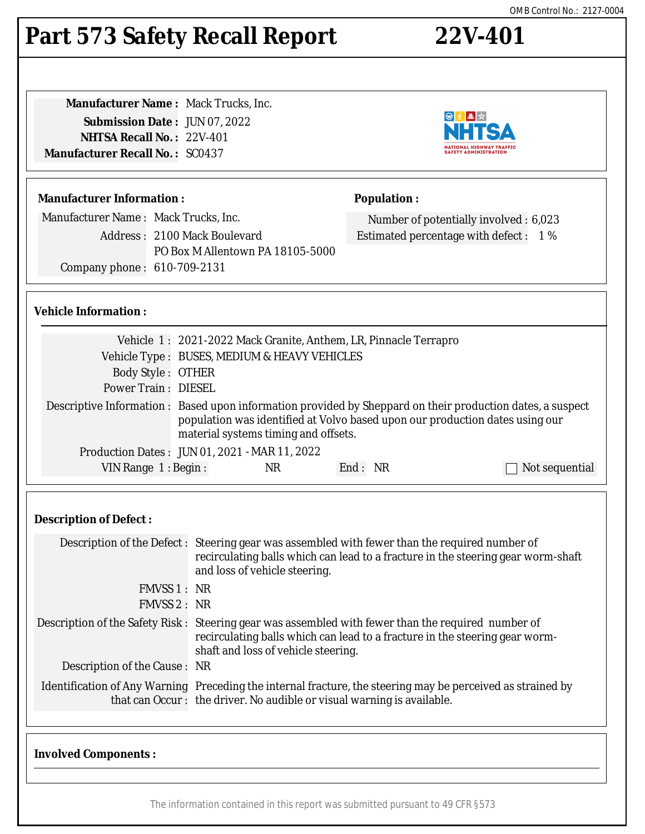#### The information contained in this report was submitted pursuant to 49 CFR §573

# **Part 573 Safety Recall Report 22V-401**

**Submission Date :** JUN 07, 2022 **NHTSA Recall No. :** 22V-401 **Manufacturer Recall No. :** SC0437

**Manufacturer Name :** Mack Trucks, Inc.

### **Manufacturer Information :**

Manufacturer Name : Mack Trucks, Inc. Address : 2100 Mack Boulevard PO Box M Allentown PA 18105-5000 Company phone : 610-709-2131

### **Vehicle Information :**

|                            |                                                                                                                                                                                                                                    | Vehicle 1: 2021-2022 Mack Granite, Anthem, LR, Pinnacle Terrapro |         |  |                            |
|----------------------------|------------------------------------------------------------------------------------------------------------------------------------------------------------------------------------------------------------------------------------|------------------------------------------------------------------|---------|--|----------------------------|
|                            |                                                                                                                                                                                                                                    | Vehicle Type : BUSES, MEDIUM & HEAVY VEHICLES                    |         |  |                            |
| <b>Body Style: OTHER</b>   |                                                                                                                                                                                                                                    |                                                                  |         |  |                            |
| <b>Power Train: DIESEL</b> |                                                                                                                                                                                                                                    |                                                                  |         |  |                            |
|                            | Descriptive Information : Based upon information provided by Sheppard on their production dates, a suspect<br>population was identified at Volvo based upon our production dates using our<br>material systems timing and offsets. |                                                                  |         |  |                            |
|                            |                                                                                                                                                                                                                                    | Production Dates: JUN 01, 2021 - MAR 11, 2022                    |         |  |                            |
| VIN Range $1:$ Begin:      |                                                                                                                                                                                                                                    | NR                                                               | End: NR |  | $\sqsupset$ Not sequential |

## **Description of Defect :**

|                               | Description of the Defect : Steering gear was assembled with fewer than the required number of<br>recirculating balls which can lead to a fracture in the steering gear worm-shaft<br>and loss of vehicle steering.      |
|-------------------------------|--------------------------------------------------------------------------------------------------------------------------------------------------------------------------------------------------------------------------|
| FMVSS 1 : NR                  |                                                                                                                                                                                                                          |
| FMVSS 2: NR                   |                                                                                                                                                                                                                          |
|                               | Description of the Safety Risk: Steering gear was assembled with fewer than the required number of<br>recirculating balls which can lead to a fracture in the steering gear worm-<br>shaft and loss of vehicle steering. |
| Description of the Cause : NR |                                                                                                                                                                                                                          |
|                               | Identification of Any Warning Preceding the internal fracture, the steering may be perceived as strained by<br>that can Occur: the driver. No audible or visual warning is available.                                    |

## **Involved Components :**

◎大▲☆ NHT NATIONAL HIGHWAY TRAFFIC<br>SAFETY ADMINISTRATION



# **Population :**

Number of potentially involved : 6,023 Estimated percentage with defect : 1 %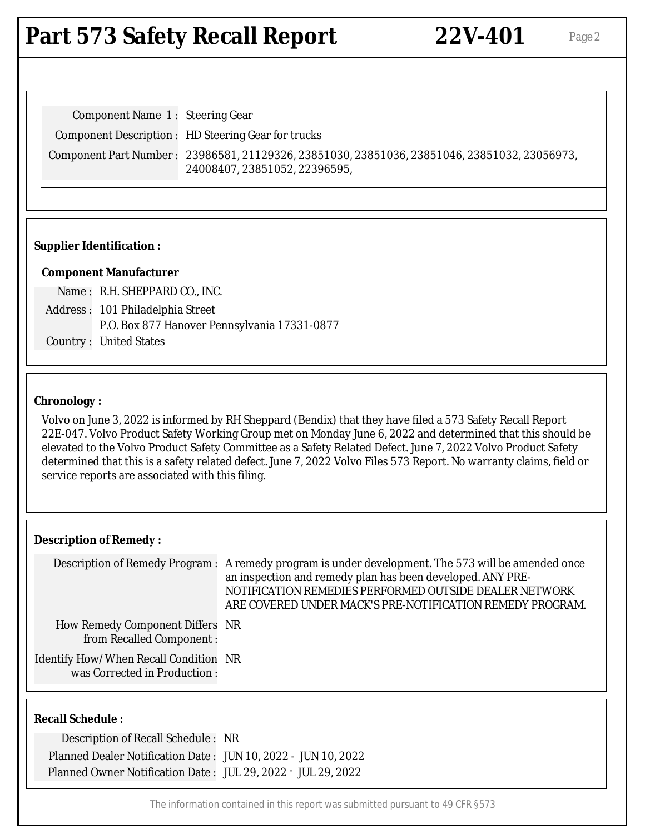# Part 573 Safety Recall Report 22V-401 Page 2

| Component Name 1: Steering Gear |                                                                                                                               |
|---------------------------------|-------------------------------------------------------------------------------------------------------------------------------|
|                                 | Component Description : HD Steering Gear for trucks                                                                           |
|                                 | Component Part Number: 23986581, 21129326, 23851030, 23851036, 23851046, 23851032, 23056973,<br>24008407, 23851052, 22396595, |

### **Supplier Identification :**

### **Component Manufacturer**

Name : R.H. SHEPPARD CO., INC. Address : 101 Philadelphia Street P.O. Box 877 Hanover Pennsylvania 17331-0877 Country : United States

#### **Chronology :**

Volvo on June 3, 2022 is informed by RH Sheppard (Bendix) that they have filed a 573 Safety Recall Report 22E-047. Volvo Product Safety Working Group met on Monday June 6, 2022 and determined that this should be elevated to the Volvo Product Safety Committee as a Safety Related Defect. June 7, 2022 Volvo Product Safety determined that this is a safety related defect. June 7, 2022 Volvo Files 573 Report. No warranty claims, field or service reports are associated with this filing.

### **Description of Remedy :**

|                                                                       | Description of Remedy Program : A remedy program is under development. The 573 will be amended once<br>an inspection and remedy plan has been developed. ANY PRE-<br>NOTIFICATION REMEDIES PERFORMED OUTSIDE DEALER NETWORK<br>ARE COVERED UNDER MACK'S PRE-NOTIFICATION REMEDY PROGRAM. |
|-----------------------------------------------------------------------|------------------------------------------------------------------------------------------------------------------------------------------------------------------------------------------------------------------------------------------------------------------------------------------|
| How Remedy Component Differs NR<br>from Recalled Component:           |                                                                                                                                                                                                                                                                                          |
| Identify How/When Recall Condition NR<br>was Corrected in Production: |                                                                                                                                                                                                                                                                                          |
|                                                                       |                                                                                                                                                                                                                                                                                          |

### **Recall Schedule :**

| Description of Recall Schedule: NR                            |  |
|---------------------------------------------------------------|--|
| Planned Dealer Notification Date: JUN 10, 2022 - JUN 10, 2022 |  |
| Planned Owner Notification Date: JUL 29, 2022 - JUL 29, 2022  |  |

The information contained in this report was submitted pursuant to 49 CFR §573